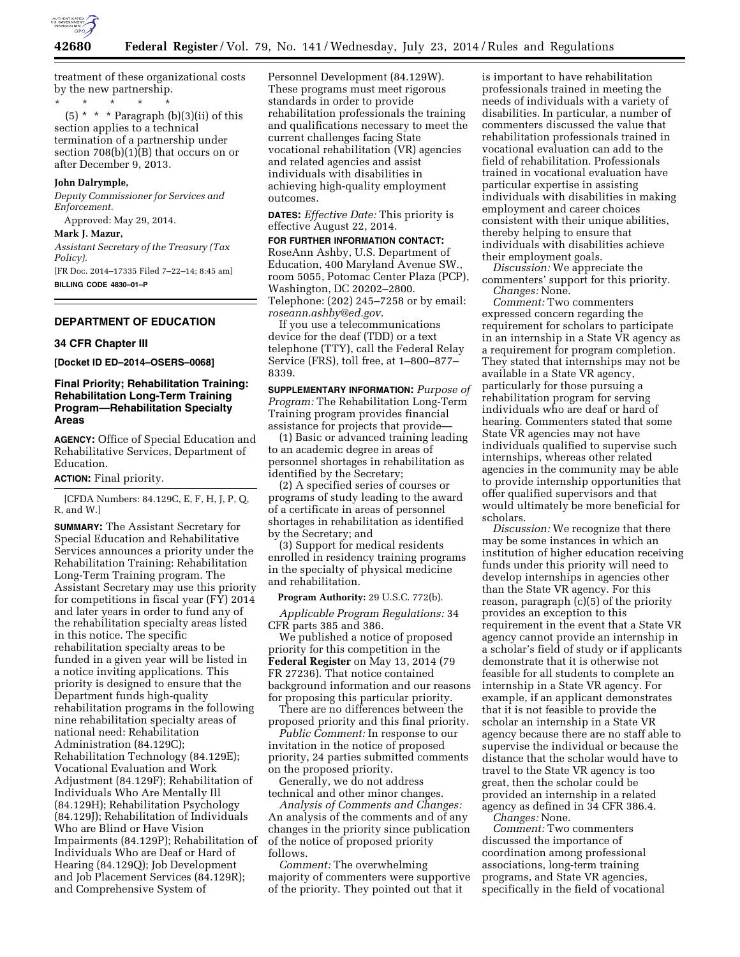

treatment of these organizational costs by the new partnership.

\* \* \* \* \*  $(5)$  \* \* \* Paragraph (b)(3)(ii) of this section applies to a technical termination of a partnership under section  $708(b)(1)(B)$  that occurs on or after December 9, 2013.

#### **John Dalrymple,**

*Deputy Commissioner for Services and Enforcement.* 

Approved: May 29, 2014.

# **Mark J. Mazur,**

*Assistant Secretary of the Treasury (Tax Policy).* 

[FR Doc. 2014–17335 Filed 7–22–14; 8:45 am] **BILLING CODE 4830–01–P** 

## **DEPARTMENT OF EDUCATION**

#### **34 CFR Chapter III**

**[Docket ID ED–2014–OSERS–0068]** 

# **Final Priority; Rehabilitation Training: Rehabilitation Long-Term Training Program—Rehabilitation Specialty Areas**

**AGENCY:** Office of Special Education and Rehabilitative Services, Department of Education.

### **ACTION:** Final priority.

[CFDA Numbers: 84.129C, E, F, H, J, P, Q, R, and W.]

**SUMMARY:** The Assistant Secretary for Special Education and Rehabilitative Services announces a priority under the Rehabilitation Training: Rehabilitation Long-Term Training program. The Assistant Secretary may use this priority for competitions in fiscal year (FY) 2014 and later years in order to fund any of the rehabilitation specialty areas listed in this notice. The specific rehabilitation specialty areas to be funded in a given year will be listed in a notice inviting applications. This priority is designed to ensure that the Department funds high-quality rehabilitation programs in the following nine rehabilitation specialty areas of national need: Rehabilitation Administration (84.129C); Rehabilitation Technology (84.129E); Vocational Evaluation and Work Adjustment (84.129F); Rehabilitation of Individuals Who Are Mentally Ill (84.129H); Rehabilitation Psychology (84.129J); Rehabilitation of Individuals Who are Blind or Have Vision Impairments (84.129P); Rehabilitation of Individuals Who are Deaf or Hard of Hearing (84.129Q); Job Development and Job Placement Services (84.129R); and Comprehensive System of

Personnel Development (84.129W). These programs must meet rigorous standards in order to provide rehabilitation professionals the training and qualifications necessary to meet the current challenges facing State vocational rehabilitation (VR) agencies and related agencies and assist individuals with disabilities in achieving high-quality employment outcomes.

**DATES:** *Effective Date:* This priority is effective August 22, 2014.

**FOR FURTHER INFORMATION CONTACT:**  RoseAnn Ashby, U.S. Department of Education, 400 Maryland Avenue SW., room 5055, Potomac Center Plaza (PCP), Washington, DC 20202–2800. Telephone: (202) 245–7258 or by email: *[roseann.ashby@ed.gov](mailto:roseann.ashby@ed.gov)*.

If you use a telecommunications device for the deaf (TDD) or a text telephone (TTY), call the Federal Relay Service (FRS), toll free, at 1–800–877– 8339.

**SUPPLEMENTARY INFORMATION:** *Purpose of Program:* The Rehabilitation Long-Term Training program provides financial assistance for projects that provide—

(1) Basic or advanced training leading to an academic degree in areas of personnel shortages in rehabilitation as identified by the Secretary;

(2) A specified series of courses or programs of study leading to the award of a certificate in areas of personnel shortages in rehabilitation as identified by the Secretary; and

(3) Support for medical residents enrolled in residency training programs in the specialty of physical medicine and rehabilitation.

### **Program Authority:** 29 U.S.C. 772(b).

*Applicable Program Regulations:* 34 CFR parts 385 and 386.

We published a notice of proposed priority for this competition in the **Federal Register** on May 13, 2014 (79 FR 27236). That notice contained background information and our reasons for proposing this particular priority.

There are no differences between the proposed priority and this final priority.

*Public Comment:* In response to our invitation in the notice of proposed priority, 24 parties submitted comments on the proposed priority.

Generally, we do not address technical and other minor changes.

*Analysis of Comments and Changes:*  An analysis of the comments and of any changes in the priority since publication of the notice of proposed priority follows.

*Comment:* The overwhelming majority of commenters were supportive of the priority. They pointed out that it

is important to have rehabilitation professionals trained in meeting the needs of individuals with a variety of disabilities. In particular, a number of commenters discussed the value that rehabilitation professionals trained in vocational evaluation can add to the field of rehabilitation. Professionals trained in vocational evaluation have particular expertise in assisting individuals with disabilities in making employment and career choices consistent with their unique abilities, thereby helping to ensure that individuals with disabilities achieve their employment goals.

*Discussion:* We appreciate the commenters' support for this priority. *Changes:* None.

*Comment:* Two commenters expressed concern regarding the requirement for scholars to participate in an internship in a State VR agency as a requirement for program completion. They stated that internships may not be available in a State VR agency, particularly for those pursuing a rehabilitation program for serving individuals who are deaf or hard of hearing. Commenters stated that some State VR agencies may not have individuals qualified to supervise such internships, whereas other related agencies in the community may be able to provide internship opportunities that offer qualified supervisors and that would ultimately be more beneficial for scholars.

*Discussion:* We recognize that there may be some instances in which an institution of higher education receiving funds under this priority will need to develop internships in agencies other than the State VR agency. For this reason, paragraph (c)(5) of the priority provides an exception to this requirement in the event that a State VR agency cannot provide an internship in a scholar's field of study or if applicants demonstrate that it is otherwise not feasible for all students to complete an internship in a State VR agency. For example, if an applicant demonstrates that it is not feasible to provide the scholar an internship in a State VR agency because there are no staff able to supervise the individual or because the distance that the scholar would have to travel to the State VR agency is too great, then the scholar could be provided an internship in a related agency as defined in 34 CFR 386.4.

*Changes:* None.

*Comment:* Two commenters discussed the importance of coordination among professional associations, long-term training programs, and State VR agencies, specifically in the field of vocational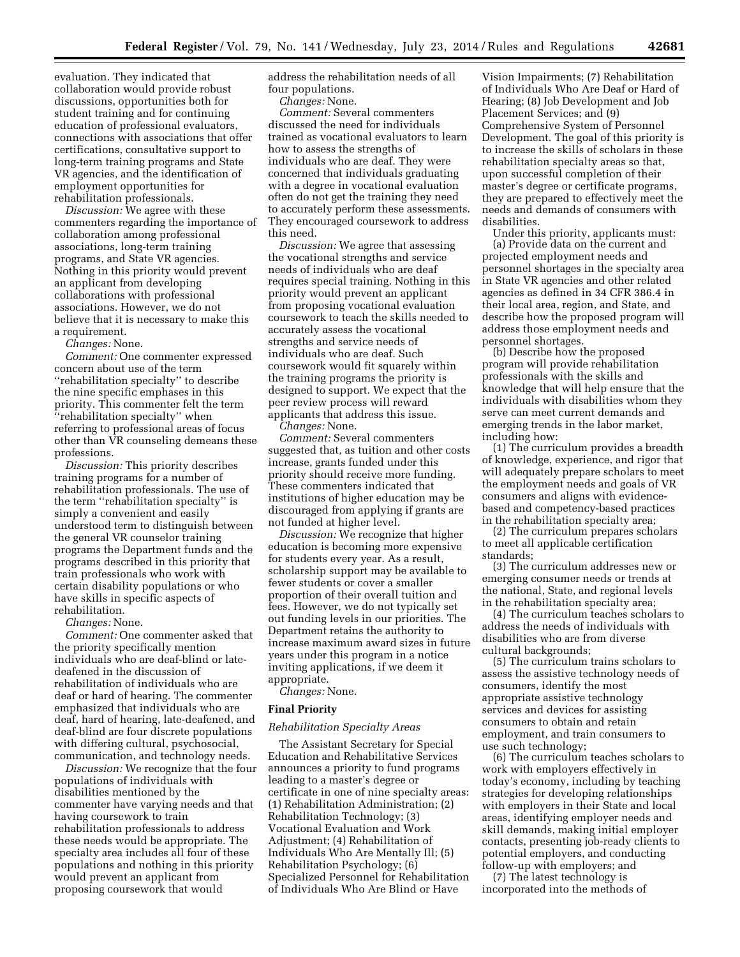evaluation. They indicated that collaboration would provide robust discussions, opportunities both for student training and for continuing education of professional evaluators, connections with associations that offer certifications, consultative support to long-term training programs and State VR agencies, and the identification of employment opportunities for rehabilitation professionals.

*Discussion:* We agree with these commenters regarding the importance of collaboration among professional associations, long-term training programs, and State VR agencies. Nothing in this priority would prevent an applicant from developing collaborations with professional associations. However, we do not believe that it is necessary to make this a requirement.

*Changes:* None.

*Comment:* One commenter expressed concern about use of the term ''rehabilitation specialty'' to describe the nine specific emphases in this priority. This commenter felt the term ''rehabilitation specialty'' when referring to professional areas of focus other than VR counseling demeans these professions.

*Discussion:* This priority describes training programs for a number of rehabilitation professionals. The use of the term ''rehabilitation specialty'' is simply a convenient and easily understood term to distinguish between the general VR counselor training programs the Department funds and the programs described in this priority that train professionals who work with certain disability populations or who have skills in specific aspects of rehabilitation.

*Changes:* None.

*Comment:* One commenter asked that the priority specifically mention individuals who are deaf-blind or latedeafened in the discussion of rehabilitation of individuals who are deaf or hard of hearing. The commenter emphasized that individuals who are deaf, hard of hearing, late-deafened, and deaf-blind are four discrete populations with differing cultural, psychosocial, communication, and technology needs.

*Discussion:* We recognize that the four populations of individuals with disabilities mentioned by the commenter have varying needs and that having coursework to train rehabilitation professionals to address these needs would be appropriate. The specialty area includes all four of these populations and nothing in this priority would prevent an applicant from proposing coursework that would

address the rehabilitation needs of all four populations.

*Changes:* None.

*Comment:* Several commenters discussed the need for individuals trained as vocational evaluators to learn how to assess the strengths of individuals who are deaf. They were concerned that individuals graduating with a degree in vocational evaluation often do not get the training they need to accurately perform these assessments. They encouraged coursework to address this need.

*Discussion:* We agree that assessing the vocational strengths and service needs of individuals who are deaf requires special training. Nothing in this priority would prevent an applicant from proposing vocational evaluation coursework to teach the skills needed to accurately assess the vocational strengths and service needs of individuals who are deaf. Such coursework would fit squarely within the training programs the priority is designed to support. We expect that the peer review process will reward applicants that address this issue.

*Changes:* None.

*Comment:* Several commenters suggested that, as tuition and other costs increase, grants funded under this priority should receive more funding. These commenters indicated that institutions of higher education may be discouraged from applying if grants are not funded at higher level.

*Discussion:* We recognize that higher education is becoming more expensive for students every year. As a result, scholarship support may be available to fewer students or cover a smaller proportion of their overall tuition and fees. However, we do not typically set out funding levels in our priorities. The Department retains the authority to increase maximum award sizes in future years under this program in a notice inviting applications, if we deem it appropriate.

*Changes:* None.

## **Final Priority**

# *Rehabilitation Specialty Areas*

The Assistant Secretary for Special Education and Rehabilitative Services announces a priority to fund programs leading to a master's degree or certificate in one of nine specialty areas: (1) Rehabilitation Administration; (2) Rehabilitation Technology; (3) Vocational Evaluation and Work Adjustment; (4) Rehabilitation of Individuals Who Are Mentally Ill; (5) Rehabilitation Psychology; (6) Specialized Personnel for Rehabilitation of Individuals Who Are Blind or Have

Vision Impairments; (7) Rehabilitation of Individuals Who Are Deaf or Hard of Hearing; (8) Job Development and Job Placement Services; and (9) Comprehensive System of Personnel Development. The goal of this priority is to increase the skills of scholars in these rehabilitation specialty areas so that, upon successful completion of their master's degree or certificate programs, they are prepared to effectively meet the needs and demands of consumers with disabilities.

Under this priority, applicants must: (a) Provide data on the current and projected employment needs and personnel shortages in the specialty area in State VR agencies and other related agencies as defined in 34 CFR 386.4 in their local area, region, and State, and describe how the proposed program will address those employment needs and personnel shortages.

(b) Describe how the proposed program will provide rehabilitation professionals with the skills and knowledge that will help ensure that the individuals with disabilities whom they serve can meet current demands and emerging trends in the labor market, including how:

(1) The curriculum provides a breadth of knowledge, experience, and rigor that will adequately prepare scholars to meet the employment needs and goals of VR consumers and aligns with evidencebased and competency-based practices in the rehabilitation specialty area;

(2) The curriculum prepares scholars to meet all applicable certification standards;

(3) The curriculum addresses new or emerging consumer needs or trends at the national, State, and regional levels in the rehabilitation specialty area;

(4) The curriculum teaches scholars to address the needs of individuals with disabilities who are from diverse cultural backgrounds;

(5) The curriculum trains scholars to assess the assistive technology needs of consumers, identify the most appropriate assistive technology services and devices for assisting consumers to obtain and retain employment, and train consumers to use such technology;

(6) The curriculum teaches scholars to work with employers effectively in today's economy, including by teaching strategies for developing relationships with employers in their State and local areas, identifying employer needs and skill demands, making initial employer contacts, presenting job-ready clients to potential employers, and conducting follow-up with employers; and

(7) The latest technology is incorporated into the methods of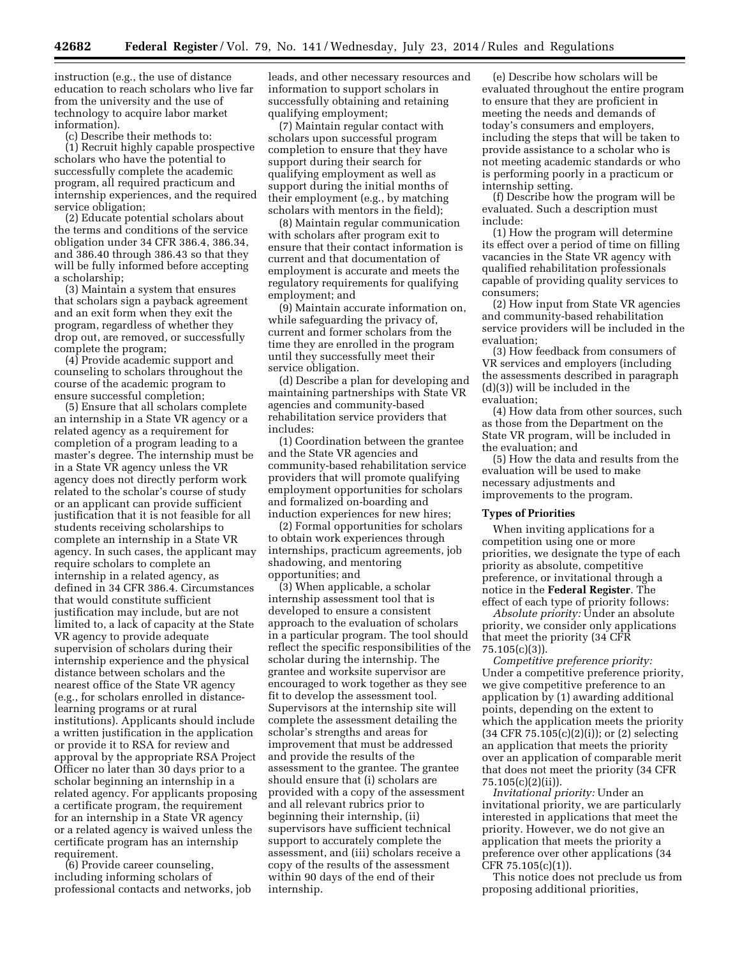instruction (e.g., the use of distance education to reach scholars who live far from the university and the use of technology to acquire labor market information).

(c) Describe their methods to:

(1) Recruit highly capable prospective scholars who have the potential to successfully complete the academic program, all required practicum and internship experiences, and the required service obligation;

(2) Educate potential scholars about the terms and conditions of the service obligation under 34 CFR 386.4, 386.34, and 386.40 through 386.43 so that they will be fully informed before accepting a scholarship;

(3) Maintain a system that ensures that scholars sign a payback agreement and an exit form when they exit the program, regardless of whether they drop out, are removed, or successfully complete the program;

(4) Provide academic support and counseling to scholars throughout the course of the academic program to ensure successful completion;

(5) Ensure that all scholars complete an internship in a State VR agency or a related agency as a requirement for completion of a program leading to a master's degree. The internship must be in a State VR agency unless the VR agency does not directly perform work related to the scholar's course of study or an applicant can provide sufficient justification that it is not feasible for all students receiving scholarships to complete an internship in a State VR agency. In such cases, the applicant may require scholars to complete an internship in a related agency, as defined in 34 CFR 386.4. Circumstances that would constitute sufficient justification may include, but are not limited to, a lack of capacity at the State VR agency to provide adequate supervision of scholars during their internship experience and the physical distance between scholars and the nearest office of the State VR agency (e.g., for scholars enrolled in distancelearning programs or at rural institutions). Applicants should include a written justification in the application or provide it to RSA for review and approval by the appropriate RSA Project Officer no later than 30 days prior to a scholar beginning an internship in a related agency. For applicants proposing a certificate program, the requirement for an internship in a State VR agency or a related agency is waived unless the certificate program has an internship requirement.

(6) Provide career counseling, including informing scholars of professional contacts and networks, job leads, and other necessary resources and information to support scholars in successfully obtaining and retaining qualifying employment;

(7) Maintain regular contact with scholars upon successful program completion to ensure that they have support during their search for qualifying employment as well as support during the initial months of their employment (e.g., by matching scholars with mentors in the field);

(8) Maintain regular communication with scholars after program exit to ensure that their contact information is current and that documentation of employment is accurate and meets the regulatory requirements for qualifying employment; and

(9) Maintain accurate information on, while safeguarding the privacy of, current and former scholars from the time they are enrolled in the program until they successfully meet their service obligation.

(d) Describe a plan for developing and maintaining partnerships with State VR agencies and community-based rehabilitation service providers that includes:

(1) Coordination between the grantee and the State VR agencies and community-based rehabilitation service providers that will promote qualifying employment opportunities for scholars and formalized on-boarding and induction experiences for new hires;

(2) Formal opportunities for scholars to obtain work experiences through internships, practicum agreements, job shadowing, and mentoring opportunities; and

(3) When applicable, a scholar internship assessment tool that is developed to ensure a consistent approach to the evaluation of scholars in a particular program. The tool should reflect the specific responsibilities of the scholar during the internship. The grantee and worksite supervisor are encouraged to work together as they see fit to develop the assessment tool. Supervisors at the internship site will complete the assessment detailing the scholar's strengths and areas for improvement that must be addressed and provide the results of the assessment to the grantee. The grantee should ensure that (i) scholars are provided with a copy of the assessment and all relevant rubrics prior to beginning their internship, (ii) supervisors have sufficient technical support to accurately complete the assessment, and (iii) scholars receive a copy of the results of the assessment within 90 days of the end of their internship.

(e) Describe how scholars will be evaluated throughout the entire program to ensure that they are proficient in meeting the needs and demands of today's consumers and employers, including the steps that will be taken to provide assistance to a scholar who is not meeting academic standards or who is performing poorly in a practicum or internship setting.

(f) Describe how the program will be evaluated. Such a description must include:

(1) How the program will determine its effect over a period of time on filling vacancies in the State VR agency with qualified rehabilitation professionals capable of providing quality services to consumers;

(2) How input from State VR agencies and community-based rehabilitation service providers will be included in the evaluation;

(3) How feedback from consumers of VR services and employers (including the assessments described in paragraph (d)(3)) will be included in the evaluation;

(4) How data from other sources, such as those from the Department on the State VR program, will be included in the evaluation; and

(5) How the data and results from the evaluation will be used to make necessary adjustments and improvements to the program.

### **Types of Priorities**

When inviting applications for a competition using one or more priorities, we designate the type of each priority as absolute, competitive preference, or invitational through a notice in the **Federal Register**. The effect of each type of priority follows:

*Absolute priority:* Under an absolute priority, we consider only applications that meet the priority (34 CFR 75.105(c)(3)).

*Competitive preference priority:*  Under a competitive preference priority, we give competitive preference to an application by (1) awarding additional points, depending on the extent to which the application meets the priority  $(34 \text{ CFR } 75.105(c)(2)(i))$ ; or  $(2)$  selecting an application that meets the priority over an application of comparable merit that does not meet the priority (34 CFR 75.105(c)(2)(ii)).

*Invitational priority:* Under an invitational priority, we are particularly interested in applications that meet the priority. However, we do not give an application that meets the priority a preference over other applications (34 CFR 75.105(c)(1)).

This notice does not preclude us from proposing additional priorities,